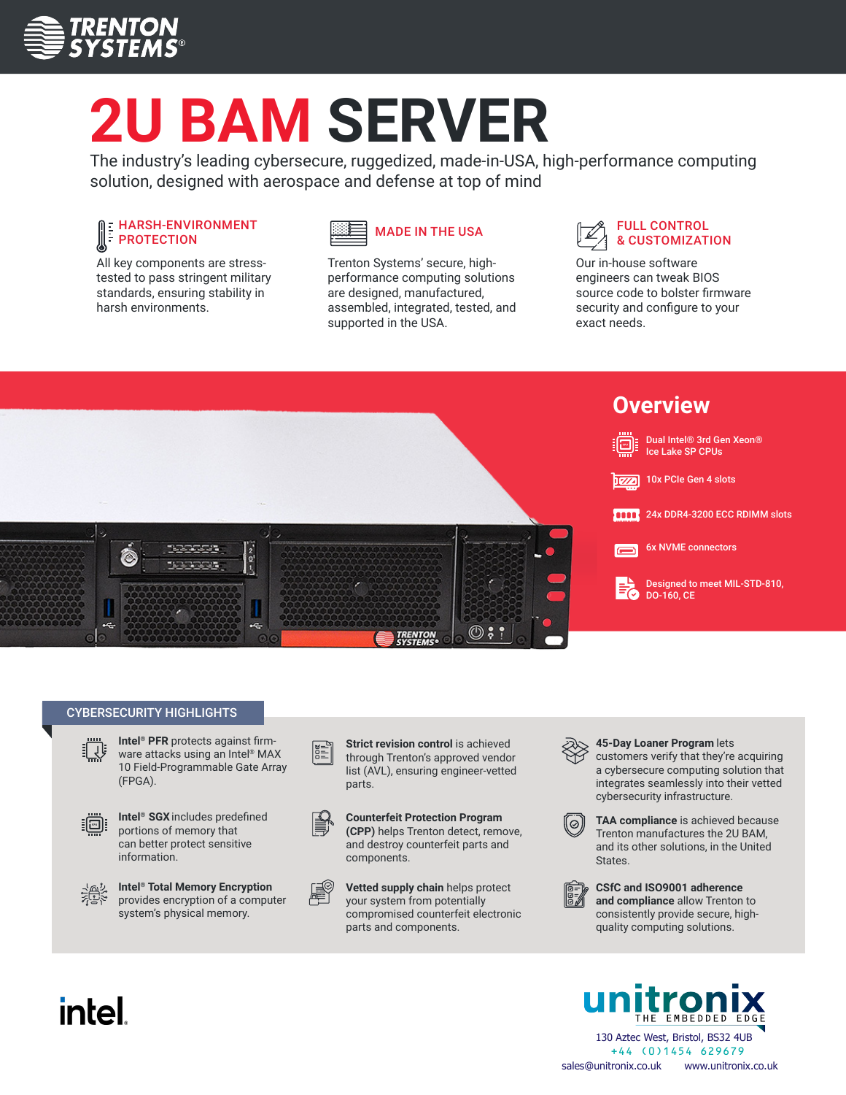

# **2U BAM SERVER**

The industry's leading cybersecure, ruggedized, made-in-USA, high-performance computing solution, designed with aerospace and defense at top of mind

#### HARSH-ENVIRONMENT PROTECTION

All key components are stresstested to pass stringent military standards, ensuring stability in harsh environments.



Trenton Systems' secure, highperformance computing solutions are designed, manufactured, assembled, integrated, tested, and supported in the USA.

#### FULL CONTROL MADE IN THE USA  $\mathbb{Z}$  FULL CONTROL MADE IN THE USA

Our in-house software engineers can tweak BIOS source code to bolster firmware security and configure to your exact needs.



#### CYBERSECURITY HIGHLIGHTS



**Intel® PFR** protects against firmware attacks using an Intel® MAX 10 Field-Programmable Gate Array (FPGA).



**Intel® SGX**includes predefined portions of memory that can better protect sensitive information.



**Intel® Total Memory Encryption** provides encryption of a computer system's physical memory.

**Strict revision control** is achieved through Trenton's approved vendor list (AVL), ensuring engineer-vetted parts.



NE<br>NE

**Counterfeit Protection Program (CPP)** helps Trenton detect, remove, and destroy counterfeit parts and components.





**45-Day Loaner Program** lets

customers verify that they're acquiring a cybersecure computing solution that integrates seamlessly into their vetted cybersecurity infrastructure.



**TAA compliance** is achieved because Trenton manufactures the 2U BAM, and its other solutions, in the United States.

**CSfC and ISO9001 adherence and compliance** allow Trenton to consistently provide secure, highquality computing solutions.



## intel.